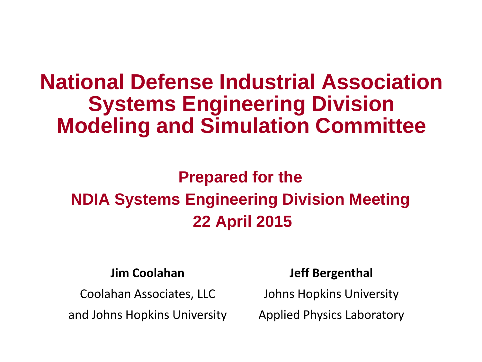# **National Defense Industrial Association Systems Engineering Division Modeling and Simulation Committee**

# **Prepared for the NDIA Systems Engineering Division Meeting 22 April 2015**

#### **Jim Coolahan**

Coolahan Associates, LLC

and Johns Hopkins University

#### **Jeff Bergenthal**

Johns Hopkins University

Applied Physics Laboratory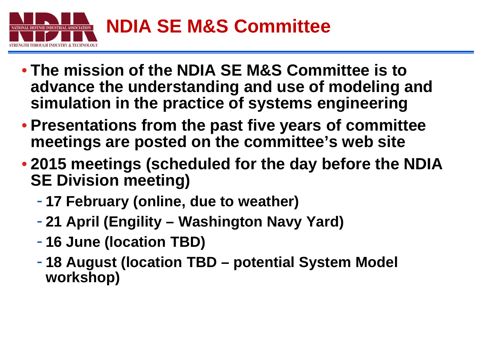

- **The mission of the NDIA SE M&S Committee is to advance the understanding and use of modeling and simulation in the practice of systems engineering**
- **Presentations from the past five years of committee meetings are posted on the committee's web site**
- **2015 meetings (scheduled for the day before the NDIA SE Division meeting)**
	- **17 February (online, due to weather)**
	- **21 April (Engility – Washington Navy Yard)**
	- **16 June (location TBD)**
	- **18 August (location TBD – potential System Model workshop)**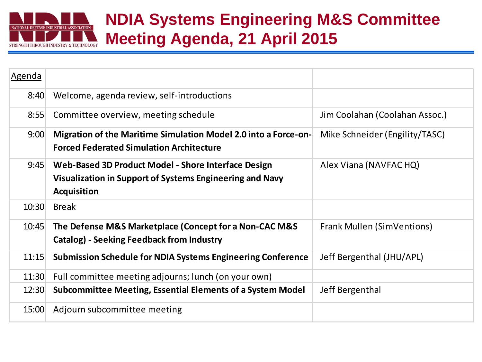

### **NDIA Systems Engineering M&S Committee Meeting Agenda, 21 April 2015**

| Agenda |                                                                                                                                       |                                   |
|--------|---------------------------------------------------------------------------------------------------------------------------------------|-----------------------------------|
| 8:40   | Welcome, agenda review, self-introductions                                                                                            |                                   |
| 8:55   | Committee overview, meeting schedule                                                                                                  | Jim Coolahan (Coolahan Assoc.)    |
| 9:00   | Migration of the Maritime Simulation Model 2.0 into a Force-on-<br><b>Forced Federated Simulation Architecture</b>                    | Mike Schneider (Engility/TASC)    |
| 9:45   | Web-Based 3D Product Model - Shore Interface Design<br>Visualization in Support of Systems Engineering and Navy<br><b>Acquisition</b> | Alex Viana (NAVFAC HQ)            |
| 10:30  | <b>Break</b>                                                                                                                          |                                   |
| 10:45  | The Defense M&S Marketplace (Concept for a Non-CAC M&S<br><b>Catalog)</b> - Seeking Feedback from Industry                            | <b>Frank Mullen (SimVentions)</b> |
| 11:15  | <b>Submission Schedule for NDIA Systems Engineering Conference</b>                                                                    | Jeff Bergenthal (JHU/APL)         |
| 11:30  | Full committee meeting adjourns; lunch (on your own)                                                                                  |                                   |
| 12:30  | Subcommittee Meeting, Essential Elements of a System Model                                                                            | Jeff Bergenthal                   |
| 15:00  | Adjourn subcommittee meeting                                                                                                          |                                   |